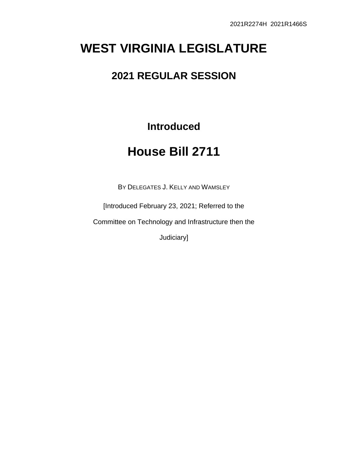# **WEST VIRGINIA LEGISLATURE**

## **2021 REGULAR SESSION**

**Introduced**

# **House Bill 2711**

BY DELEGATES J. KELLY AND WAMSLEY

[Introduced February 23, 2021; Referred to the

Committee on Technology and Infrastructure then the

Judiciary]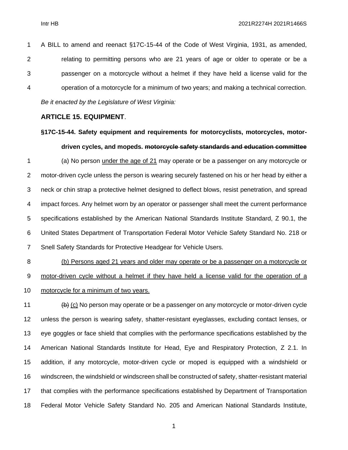A BILL to amend and reenact §17C-15-44 of the Code of West Virginia, 1931, as amended, relating to permitting persons who are 21 years of age or older to operate or be a passenger on a motorcycle without a helmet if they have held a license valid for the operation of a motorcycle for a minimum of two years; and making a technical correction. *Be it enacted by the Legislature of West Virginia:*

#### **ARTICLE 15. EQUIPMENT**.

### **§17C-15-44. Safety equipment and requirements for motorcyclists, motorcycles, motordriven cycles, and mopeds. motorcycle safety standards and education committee**

 (a) No person under the age of 21 may operate or be a passenger on any motorcycle or motor-driven cycle unless the person is wearing securely fastened on his or her head by either a neck or chin strap a protective helmet designed to deflect blows, resist penetration, and spread impact forces. Any helmet worn by an operator or passenger shall meet the current performance specifications established by the American National Standards Institute Standard, Z 90.1, the United States Department of Transportation Federal Motor Vehicle Safety Standard No. 218 or Snell Safety Standards for Protective Headgear for Vehicle Users.

### (b) Persons aged 21 years and older may operate or be a passenger on a motorcycle or motor-driven cycle without a helmet if they have held a license valid for the operation of a motorcycle for a minimum of two years.

 $\left(\frac{b}{b}\right)$  (c) No person may operate or be a passenger on any motorcycle or motor-driven cycle unless the person is wearing safety, shatter-resistant eyeglasses, excluding contact lenses, or eye goggles or face shield that complies with the performance specifications established by the American National Standards Institute for Head, Eye and Respiratory Protection, Z 2.1. In addition, if any motorcycle, motor-driven cycle or moped is equipped with a windshield or windscreen, the windshield or windscreen shall be constructed of safety, shatter-resistant material that complies with the performance specifications established by Department of Transportation Federal Motor Vehicle Safety Standard No. 205 and American National Standards Institute,